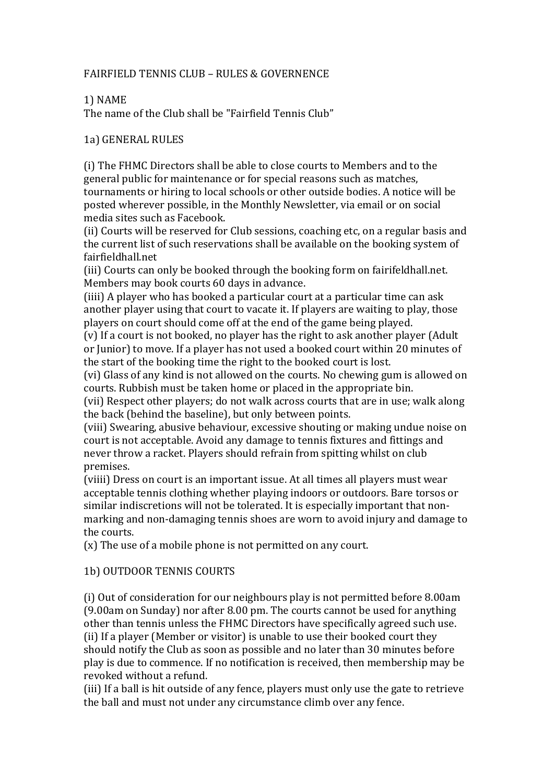## FAIRFIELD TENNIS CLUB – RULES & GOVERNENCE

## 1) NAME

The name of the Club shall be "Fairfield Tennis Club"

### 1a) GENERAL RULES

(i) The FHMC Directors shall be able to close courts to Members and to the general public for maintenance or for special reasons such as matches, tournaments or hiring to local schools or other outside bodies. A notice will be posted wherever possible, in the Monthly Newsletter, via email or on social media sites such as Facebook.

(ii) Courts will be reserved for Club sessions, coaching etc, on a regular basis and the current list of such reservations shall be available on the booking system of fairfieldhall.net

(iii) Courts can only be booked through the booking form on fairifeldhall.net. Members may book courts 60 days in advance.

(iiii) A player who has booked a particular court at a particular time can ask another player using that court to vacate it. If players are waiting to play, those players on court should come off at the end of the game being played.

(v) If a court is not booked, no player has the right to ask another player (Adult or Junior) to move. If a player has not used a booked court within 20 minutes of the start of the booking time the right to the booked court is lost.

(vi) Glass of any kind is not allowed on the courts. No chewing gum is allowed on courts. Rubbish must be taken home or placed in the appropriate bin.

(vii) Respect other players; do not walk across courts that are in use; walk along the back (behind the baseline), but only between points.

(viii) Swearing, abusive behaviour, excessive shouting or making undue noise on court is not acceptable. Avoid any damage to tennis fixtures and fittings and never throw a racket. Players should refrain from spitting whilst on club premises.

(viiii) Dress on court is an important issue. At all times all players must wear acceptable tennis clothing whether playing indoors or outdoors. Bare torsos or similar indiscretions will not be tolerated. It is especially important that nonmarking and non-damaging tennis shoes are worn to avoid injury and damage to the courts.

 $(x)$  The use of a mobile phone is not permitted on any court.

# 1b) OUTDOOR TENNIS COURTS

(i) Out of consideration for our neighbours play is not permitted before 8.00am  $(9.00am$  on Sunday) nor after  $8.00$  pm. The courts cannot be used for anything other than tennis unless the FHMC Directors have specifically agreed such use. (ii) If a player (Member or visitor) is unable to use their booked court they should notify the Club as soon as possible and no later than 30 minutes before play is due to commence. If no notification is received, then membership may be revoked without a refund.

(iii) If a ball is hit outside of any fence, players must only use the gate to retrieve the ball and must not under any circumstance climb over any fence.